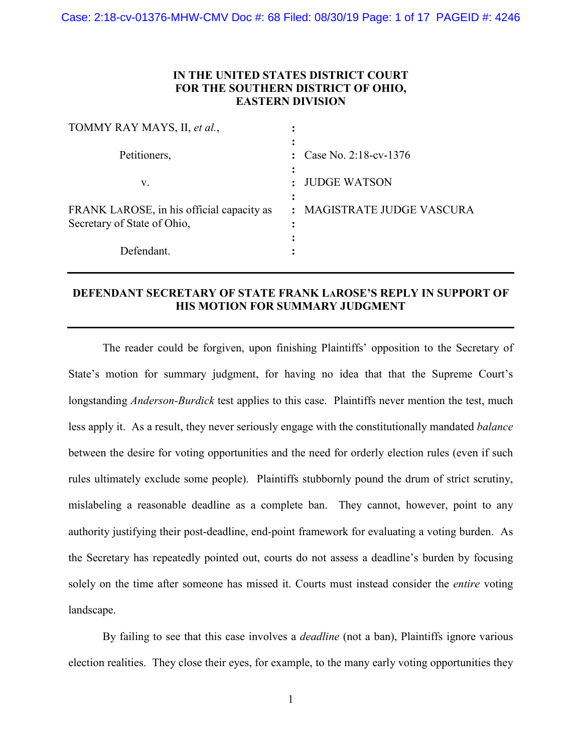### **IN THE UNITED STATES DISTRICT COURT FOR THE SOUTHERN DISTRICT OF OHIO, EASTERN DIVISION**

| TOMMY RAY MAYS, II, et al.,                                              |                                            |
|--------------------------------------------------------------------------|--------------------------------------------|
| Petitioners,                                                             | Case No. 2:18-cv-1376                      |
| V.                                                                       | <b>JUDGE WATSON</b>                        |
| FRANK LAROSE, in his official capacity as<br>Secretary of State of Ohio, | MAGISTRATE JUDGE VASCURA<br>$\ddot{\cdot}$ |
| Defendant.                                                               |                                            |

# **DEFENDANT SECRETARY OF STATE FRANK LAROSE'S REPLY IN SUPPORT OF HIS MOTION FOR SUMMARY JUDGMENT**

The reader could be forgiven, upon finishing Plaintiffs' opposition to the Secretary of State's motion for summary judgment, for having no idea that that the Supreme Court's longstanding *Anderson-Burdick* test applies to this case. Plaintiffs never mention the test, much less apply it. As a result, they never seriously engage with the constitutionally mandated *balance*  between the desire for voting opportunities and the need for orderly election rules (even if such rules ultimately exclude some people). Plaintiffs stubbornly pound the drum of strict scrutiny, mislabeling a reasonable deadline as a complete ban. They cannot, however, point to any authority justifying their post-deadline, end-point framework for evaluating a voting burden. As the Secretary has repeatedly pointed out, courts do not assess a deadline's burden by focusing solely on the time after someone has missed it. Courts must instead consider the *entire* voting landscape.

By failing to see that this case involves a *deadline* (not a ban), Plaintiffs ignore various election realities. They close their eyes, for example, to the many early voting opportunities they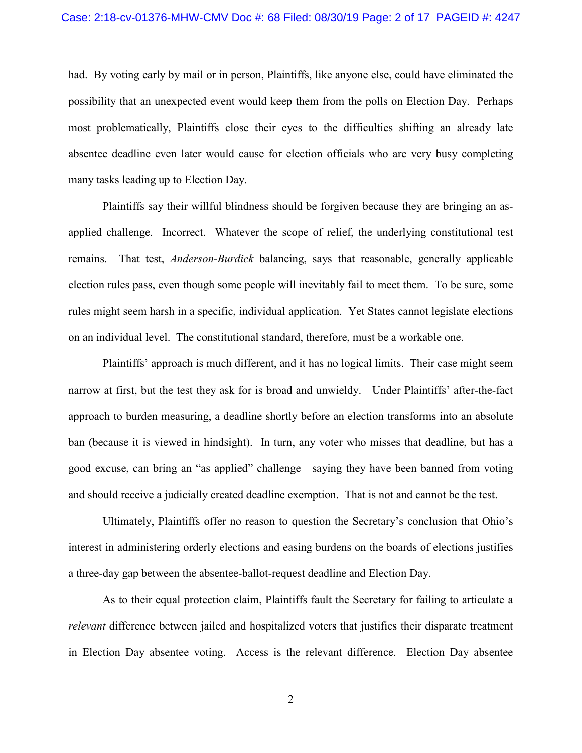had. By voting early by mail or in person, Plaintiffs, like anyone else, could have eliminated the possibility that an unexpected event would keep them from the polls on Election Day. Perhaps most problematically, Plaintiffs close their eyes to the difficulties shifting an already late absentee deadline even later would cause for election officials who are very busy completing many tasks leading up to Election Day.

Plaintiffs say their willful blindness should be forgiven because they are bringing an asapplied challenge. Incorrect. Whatever the scope of relief, the underlying constitutional test remains. That test, *Anderson-Burdick* balancing, says that reasonable, generally applicable election rules pass, even though some people will inevitably fail to meet them. To be sure, some rules might seem harsh in a specific, individual application. Yet States cannot legislate elections on an individual level. The constitutional standard, therefore, must be a workable one.

Plaintiffs' approach is much different, and it has no logical limits. Their case might seem narrow at first, but the test they ask for is broad and unwieldy. Under Plaintiffs' after-the-fact approach to burden measuring, a deadline shortly before an election transforms into an absolute ban (because it is viewed in hindsight). In turn, any voter who misses that deadline, but has a good excuse, can bring an "as applied" challenge—saying they have been banned from voting and should receive a judicially created deadline exemption. That is not and cannot be the test.

Ultimately, Plaintiffs offer no reason to question the Secretary's conclusion that Ohio's interest in administering orderly elections and easing burdens on the boards of elections justifies a three-day gap between the absentee-ballot-request deadline and Election Day.

As to their equal protection claim, Plaintiffs fault the Secretary for failing to articulate a *relevant* difference between jailed and hospitalized voters that justifies their disparate treatment in Election Day absentee voting. Access is the relevant difference. Election Day absentee

2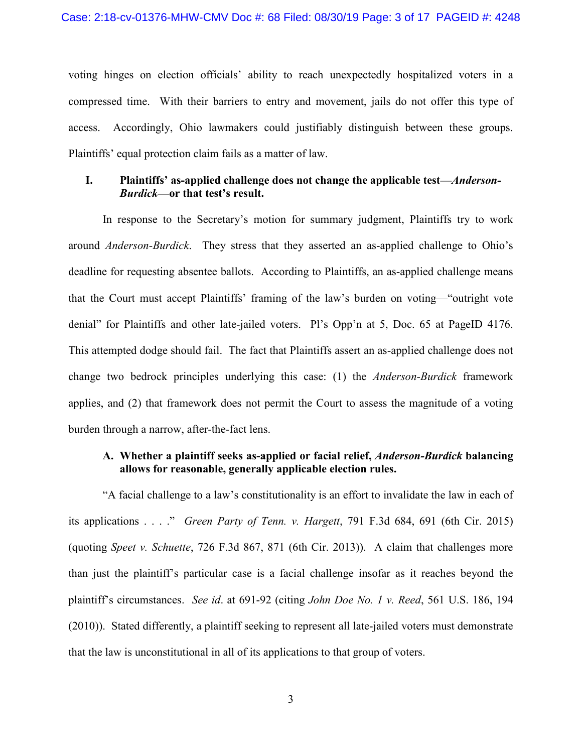voting hinges on election officials' ability to reach unexpectedly hospitalized voters in a compressed time. With their barriers to entry and movement, jails do not offer this type of access. Accordingly, Ohio lawmakers could justifiably distinguish between these groups. Plaintiffs' equal protection claim fails as a matter of law.

### **I. Plaintiffs' as-applied challenge does not change the applicable test—***Anderson-Burdick***—or that test's result.**

In response to the Secretary's motion for summary judgment, Plaintiffs try to work around *Anderson-Burdick*. They stress that they asserted an as-applied challenge to Ohio's deadline for requesting absentee ballots. According to Plaintiffs, an as-applied challenge means that the Court must accept Plaintiffs' framing of the law's burden on voting—"outright vote denial" for Plaintiffs and other late-jailed voters. Pl's Opp'n at 5, Doc. 65 at PageID 4176. This attempted dodge should fail. The fact that Plaintiffs assert an as-applied challenge does not change two bedrock principles underlying this case: (1) the *Anderson-Burdick* framework applies, and (2) that framework does not permit the Court to assess the magnitude of a voting burden through a narrow, after-the-fact lens.

## **A. Whether a plaintiff seeks as-applied or facial relief,** *Anderson-Burdick* **balancing allows for reasonable, generally applicable election rules.**

"A facial challenge to a law's constitutionality is an effort to invalidate the law in each of its applications . . . ." *Green Party of Tenn. v. Hargett*, 791 F.3d 684, 691 (6th Cir. 2015) (quoting *Speet v. Schuette*, 726 F.3d 867, 871 (6th Cir. 2013)). A claim that challenges more than just the plaintiff's particular case is a facial challenge insofar as it reaches beyond the plaintiff's circumstances. *See id*. at 691-92 (citing *John Doe No. 1 v. Reed*, 561 U.S. 186, 194 (2010)). Stated differently, a plaintiff seeking to represent all late-jailed voters must demonstrate that the law is unconstitutional in all of its applications to that group of voters.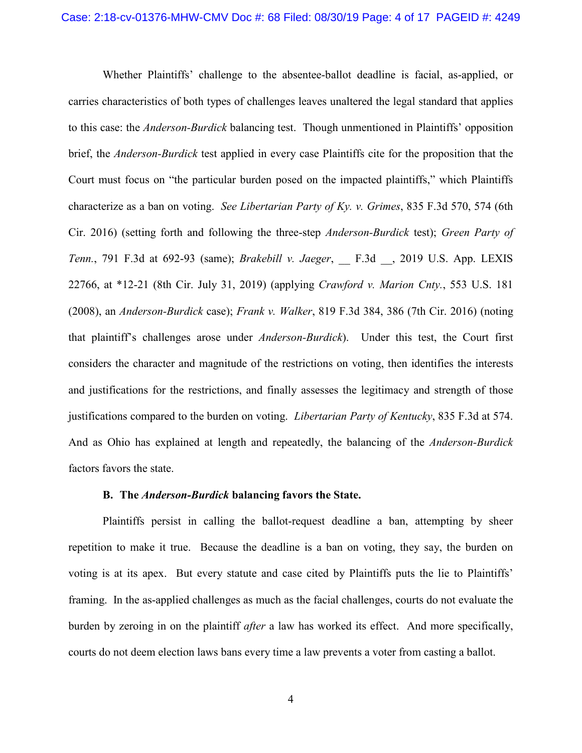Whether Plaintiffs' challenge to the absentee-ballot deadline is facial, as-applied, or carries characteristics of both types of challenges leaves unaltered the legal standard that applies to this case: the *Anderson-Burdick* balancing test. Though unmentioned in Plaintiffs' opposition brief, the *Anderson-Burdick* test applied in every case Plaintiffs cite for the proposition that the Court must focus on "the particular burden posed on the impacted plaintiffs," which Plaintiffs characterize as a ban on voting. *See Libertarian Party of Ky. v. Grimes*, 835 F.3d 570, 574 (6th Cir. 2016) (setting forth and following the three-step *Anderson-Burdick* test); *Green Party of Tenn.*, 791 F.3d at 692-93 (same); *Brakebill v. Jaeger*, \_\_ F.3d \_\_, 2019 U.S. App. LEXIS 22766, at \*12-21 (8th Cir. July 31, 2019) (applying *Crawford v. Marion Cnty.*, 553 U.S. 181 (2008), an *Anderson-Burdick* case); *Frank v. Walker*, 819 F.3d 384, 386 (7th Cir. 2016) (noting that plaintiff's challenges arose under *Anderson-Burdick*). Under this test, the Court first considers the character and magnitude of the restrictions on voting, then identifies the interests and justifications for the restrictions, and finally assesses the legitimacy and strength of those justifications compared to the burden on voting. *Libertarian Party of Kentucky*, 835 F.3d at 574. And as Ohio has explained at length and repeatedly, the balancing of the *Anderson-Burdick*  factors favors the state.

#### **B. The** *Anderson-Burdick* **balancing favors the State.**

Plaintiffs persist in calling the ballot-request deadline a ban, attempting by sheer repetition to make it true. Because the deadline is a ban on voting, they say, the burden on voting is at its apex. But every statute and case cited by Plaintiffs puts the lie to Plaintiffs' framing. In the as-applied challenges as much as the facial challenges, courts do not evaluate the burden by zeroing in on the plaintiff *after* a law has worked its effect. And more specifically, courts do not deem election laws bans every time a law prevents a voter from casting a ballot.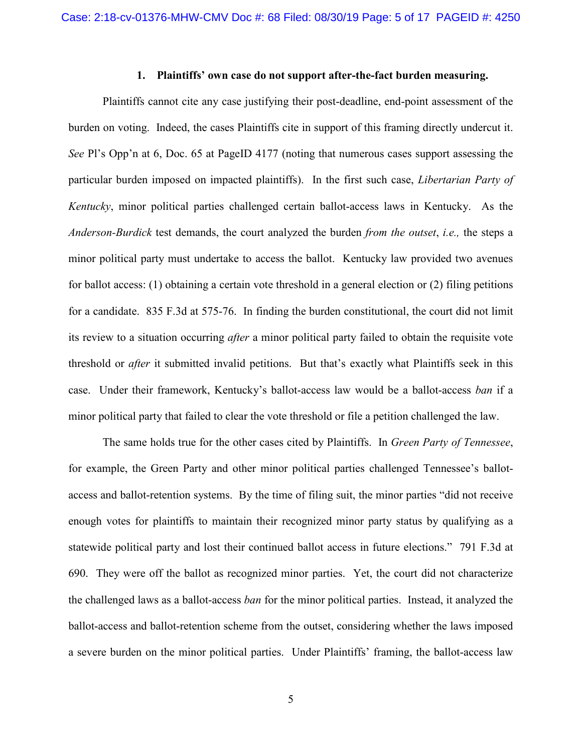### **1. Plaintiffs' own case do not support after-the-fact burden measuring.**

Plaintiffs cannot cite any case justifying their post-deadline, end-point assessment of the burden on voting. Indeed, the cases Plaintiffs cite in support of this framing directly undercut it. *See* Pl's Opp'n at 6, Doc. 65 at PageID 4177 (noting that numerous cases support assessing the particular burden imposed on impacted plaintiffs). In the first such case, *Libertarian Party of Kentucky*, minor political parties challenged certain ballot-access laws in Kentucky. As the *Anderson-Burdick* test demands, the court analyzed the burden *from the outset*, *i.e.,* the steps a minor political party must undertake to access the ballot. Kentucky law provided two avenues for ballot access: (1) obtaining a certain vote threshold in a general election or (2) filing petitions for a candidate. 835 F.3d at 575-76. In finding the burden constitutional, the court did not limit its review to a situation occurring *after* a minor political party failed to obtain the requisite vote threshold or *after* it submitted invalid petitions. But that's exactly what Plaintiffs seek in this case. Under their framework, Kentucky's ballot-access law would be a ballot-access *ban* if a minor political party that failed to clear the vote threshold or file a petition challenged the law.

The same holds true for the other cases cited by Plaintiffs. In *Green Party of Tennessee*, for example, the Green Party and other minor political parties challenged Tennessee's ballotaccess and ballot-retention systems. By the time of filing suit, the minor parties "did not receive enough votes for plaintiffs to maintain their recognized minor party status by qualifying as a statewide political party and lost their continued ballot access in future elections." 791 F.3d at 690. They were off the ballot as recognized minor parties. Yet, the court did not characterize the challenged laws as a ballot-access *ban* for the minor political parties. Instead, it analyzed the ballot-access and ballot-retention scheme from the outset, considering whether the laws imposed a severe burden on the minor political parties. Under Plaintiffs' framing, the ballot-access law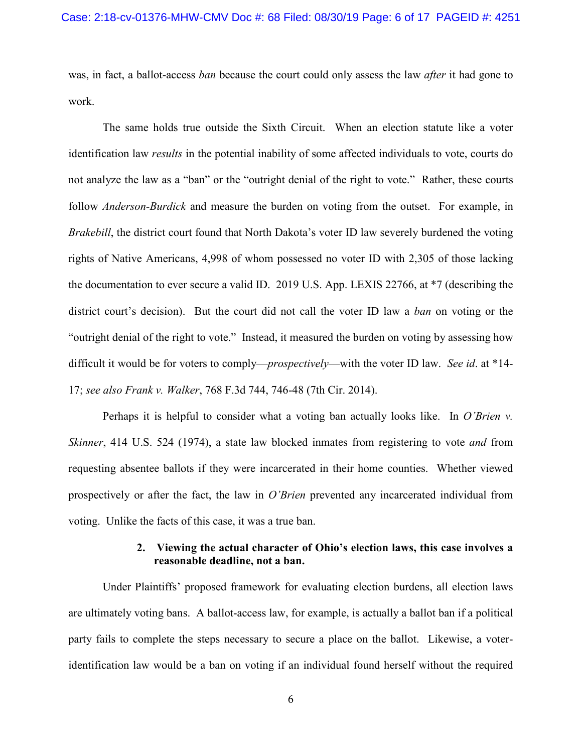was, in fact, a ballot-access *ban* because the court could only assess the law *after* it had gone to work.

The same holds true outside the Sixth Circuit. When an election statute like a voter identification law *results* in the potential inability of some affected individuals to vote, courts do not analyze the law as a "ban" or the "outright denial of the right to vote." Rather, these courts follow *Anderson-Burdick* and measure the burden on voting from the outset. For example, in *Brakebill*, the district court found that North Dakota's voter ID law severely burdened the voting rights of Native Americans, 4,998 of whom possessed no voter ID with 2,305 of those lacking the documentation to ever secure a valid ID. 2019 U.S. App. LEXIS 22766, at \*7 (describing the district court's decision). But the court did not call the voter ID law a *ban* on voting or the "outright denial of the right to vote." Instead, it measured the burden on voting by assessing how difficult it would be for voters to comply—*prospectively*—with the voter ID law. *See id*. at \*14- 17; *see also Frank v. Walker*, 768 F.3d 744, 746-48 (7th Cir. 2014).

Perhaps it is helpful to consider what a voting ban actually looks like. In *O'Brien v. Skinner*, 414 U.S. 524 (1974), a state law blocked inmates from registering to vote *and* from requesting absentee ballots if they were incarcerated in their home counties. Whether viewed prospectively or after the fact, the law in *O'Brien* prevented any incarcerated individual from voting. Unlike the facts of this case, it was a true ban.

### **2. Viewing the actual character of Ohio's election laws, this case involves a reasonable deadline, not a ban.**

Under Plaintiffs' proposed framework for evaluating election burdens, all election laws are ultimately voting bans. A ballot-access law, for example, is actually a ballot ban if a political party fails to complete the steps necessary to secure a place on the ballot. Likewise, a voteridentification law would be a ban on voting if an individual found herself without the required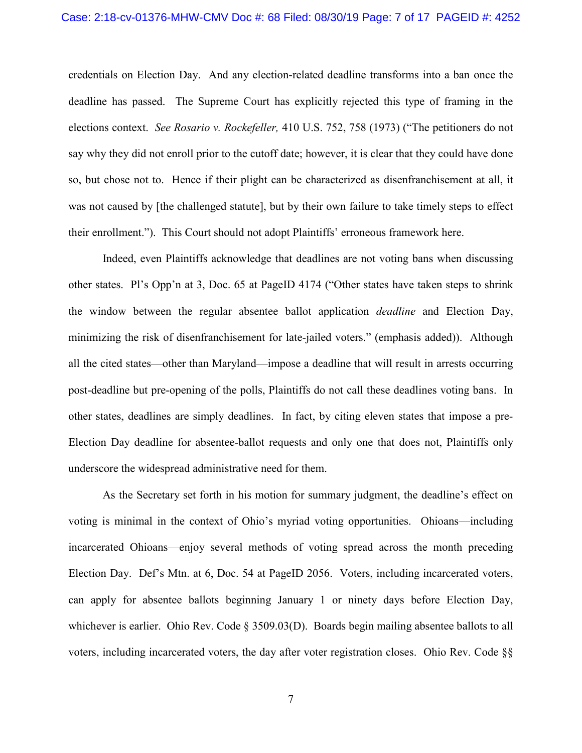#### Case: 2:18-cv-01376-MHW-CMV Doc #: 68 Filed: 08/30/19 Page: 7 of 17 PAGEID #: 4252

credentials on Election Day. And any election-related deadline transforms into a ban once the deadline has passed. The Supreme Court has explicitly rejected this type of framing in the elections context. *See Rosario v. Rockefeller,* 410 U.S. 752, 758 (1973) ("The petitioners do not say why they did not enroll prior to the cutoff date; however, it is clear that they could have done so, but chose not to. Hence if their plight can be characterized as disenfranchisement at all, it was not caused by [the challenged statute], but by their own failure to take timely steps to effect their enrollment."). This Court should not adopt Plaintiffs' erroneous framework here.

Indeed, even Plaintiffs acknowledge that deadlines are not voting bans when discussing other states. Pl's Opp'n at 3, Doc. 65 at PageID 4174 ("Other states have taken steps to shrink the window between the regular absentee ballot application *deadline* and Election Day, minimizing the risk of disenfranchisement for late-jailed voters." (emphasis added)). Although all the cited states—other than Maryland—impose a deadline that will result in arrests occurring post-deadline but pre-opening of the polls, Plaintiffs do not call these deadlines voting bans. In other states, deadlines are simply deadlines. In fact, by citing eleven states that impose a pre-Election Day deadline for absentee-ballot requests and only one that does not, Plaintiffs only underscore the widespread administrative need for them.

As the Secretary set forth in his motion for summary judgment, the deadline's effect on voting is minimal in the context of Ohio's myriad voting opportunities. Ohioans—including incarcerated Ohioans—enjoy several methods of voting spread across the month preceding Election Day. Def's Mtn. at 6, Doc. 54 at PageID 2056. Voters, including incarcerated voters, can apply for absentee ballots beginning January 1 or ninety days before Election Day, whichever is earlier. Ohio Rev. Code § 3509.03(D). Boards begin mailing absentee ballots to all voters, including incarcerated voters, the day after voter registration closes. Ohio Rev. Code §§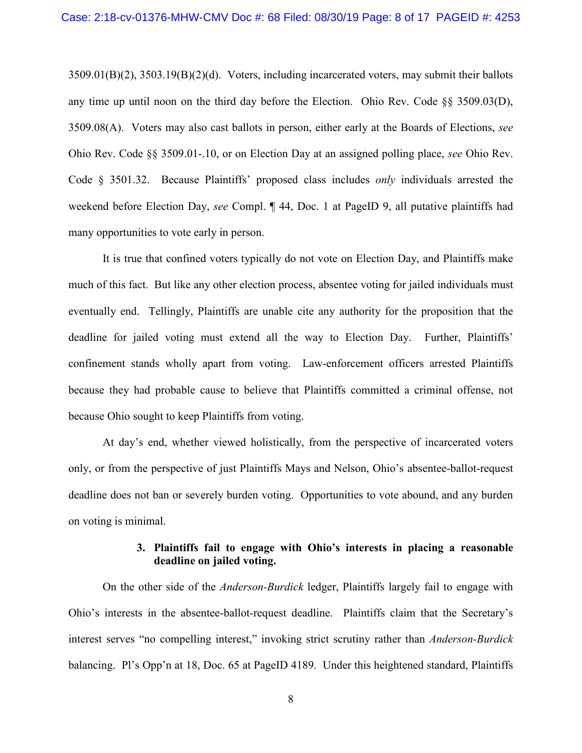3509.01(B)(2), 3503.19(B)(2)(d). Voters, including incarcerated voters, may submit their ballots any time up until noon on the third day before the Election. Ohio Rev. Code §§ 3509.03(D), 3509.08(A). Voters may also cast ballots in person, either early at the Boards of Elections, *see*  Ohio Rev. Code §§ 3509.01-.10, or on Election Day at an assigned polling place, *see* Ohio Rev. Code § 3501.32. Because Plaintiffs' proposed class includes *only* individuals arrested the weekend before Election Day, *see* Compl. ¶ 44, Doc. 1 at PageID 9, all putative plaintiffs had many opportunities to vote early in person.

It is true that confined voters typically do not vote on Election Day, and Plaintiffs make much of this fact. But like any other election process, absentee voting for jailed individuals must eventually end. Tellingly, Plaintiffs are unable cite any authority for the proposition that the deadline for jailed voting must extend all the way to Election Day. Further, Plaintiffs' confinement stands wholly apart from voting. Law-enforcement officers arrested Plaintiffs because they had probable cause to believe that Plaintiffs committed a criminal offense, not because Ohio sought to keep Plaintiffs from voting.

At day's end, whether viewed holistically, from the perspective of incarcerated voters only, or from the perspective of just Plaintiffs Mays and Nelson, Ohio's absentee-ballot-request deadline does not ban or severely burden voting. Opportunities to vote abound, and any burden on voting is minimal.

### **3. Plaintiffs fail to engage with Ohio's interests in placing a reasonable deadline on jailed voting.**

On the other side of the *Anderson-Burdick* ledger, Plaintiffs largely fail to engage with Ohio's interests in the absentee-ballot-request deadline. Plaintiffs claim that the Secretary's interest serves "no compelling interest," invoking strict scrutiny rather than *Anderson-Burdick*  balancing. Pl's Opp'n at 18, Doc. 65 at PageID 4189. Under this heightened standard, Plaintiffs

8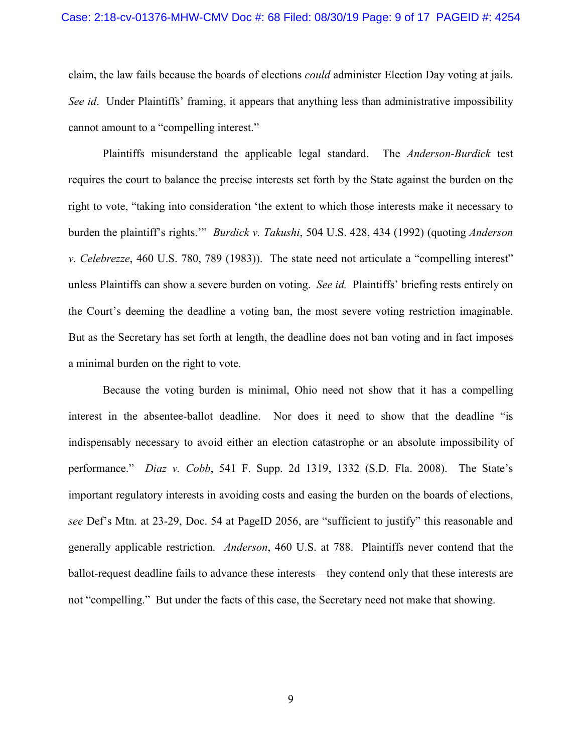#### Case: 2:18-cv-01376-MHW-CMV Doc #: 68 Filed: 08/30/19 Page: 9 of 17 PAGEID #: 4254

claim, the law fails because the boards of elections *could* administer Election Day voting at jails. *See id*. Under Plaintiffs' framing, it appears that anything less than administrative impossibility cannot amount to a "compelling interest."

Plaintiffs misunderstand the applicable legal standard. The *Anderson-Burdick* test requires the court to balance the precise interests set forth by the State against the burden on the right to vote, "taking into consideration 'the extent to which those interests make it necessary to burden the plaintiff's rights.'" *Burdick v. Takushi*, 504 U.S. 428, 434 (1992) (quoting *Anderson v. Celebrezze*, 460 U.S. 780, 789 (1983)). The state need not articulate a "compelling interest" unless Plaintiffs can show a severe burden on voting. *See id.* Plaintiffs' briefing rests entirely on the Court's deeming the deadline a voting ban, the most severe voting restriction imaginable. But as the Secretary has set forth at length, the deadline does not ban voting and in fact imposes a minimal burden on the right to vote.

Because the voting burden is minimal, Ohio need not show that it has a compelling interest in the absentee-ballot deadline. Nor does it need to show that the deadline "is indispensably necessary to avoid either an election catastrophe or an absolute impossibility of performance." *Diaz v. Cobb*, 541 F. Supp. 2d 1319, 1332 (S.D. Fla. 2008). The State's important regulatory interests in avoiding costs and easing the burden on the boards of elections, *see* Def's Mtn. at 23-29, Doc. 54 at PageID 2056, are "sufficient to justify" this reasonable and generally applicable restriction. *Anderson*, 460 U.S. at 788. Plaintiffs never contend that the ballot-request deadline fails to advance these interests—they contend only that these interests are not "compelling." But under the facts of this case, the Secretary need not make that showing.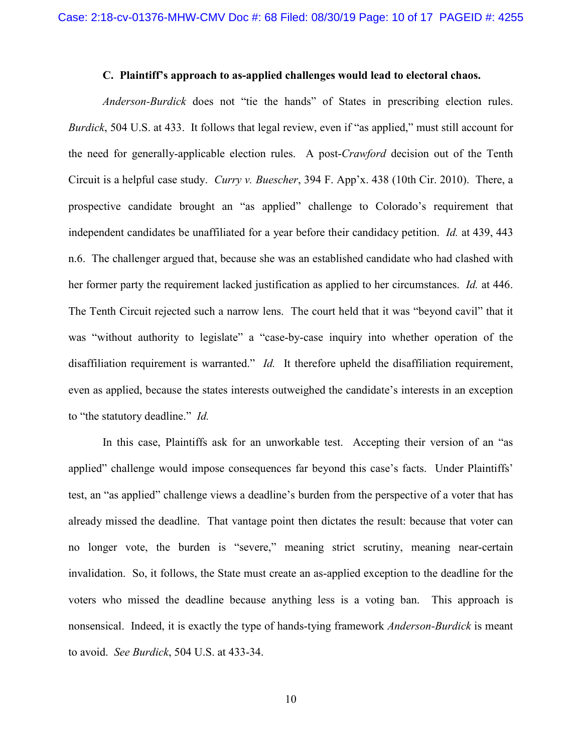#### **C. Plaintiff's approach to as-applied challenges would lead to electoral chaos.**

*Anderson-Burdick* does not "tie the hands" of States in prescribing election rules. *Burdick*, 504 U.S. at 433. It follows that legal review, even if "as applied," must still account for the need for generally-applicable election rules. A post-*Crawford* decision out of the Tenth Circuit is a helpful case study. *Curry v. Buescher*, 394 F. App'x. 438 (10th Cir. 2010). There, a prospective candidate brought an "as applied" challenge to Colorado's requirement that independent candidates be unaffiliated for a year before their candidacy petition. *Id.* at 439, 443 n.6. The challenger argued that, because she was an established candidate who had clashed with her former party the requirement lacked justification as applied to her circumstances. *Id.* at 446. The Tenth Circuit rejected such a narrow lens. The court held that it was "beyond cavil" that it was "without authority to legislate" a "case-by-case inquiry into whether operation of the disaffiliation requirement is warranted." *Id.* It therefore upheld the disaffiliation requirement, even as applied, because the states interests outweighed the candidate's interests in an exception to "the statutory deadline." *Id.*

In this case, Plaintiffs ask for an unworkable test. Accepting their version of an "as applied" challenge would impose consequences far beyond this case's facts. Under Plaintiffs' test, an "as applied" challenge views a deadline's burden from the perspective of a voter that has already missed the deadline. That vantage point then dictates the result: because that voter can no longer vote, the burden is "severe," meaning strict scrutiny, meaning near-certain invalidation. So, it follows, the State must create an as-applied exception to the deadline for the voters who missed the deadline because anything less is a voting ban. This approach is nonsensical. Indeed, it is exactly the type of hands-tying framework *Anderson-Burdick* is meant to avoid. *See Burdick*, 504 U.S. at 433-34.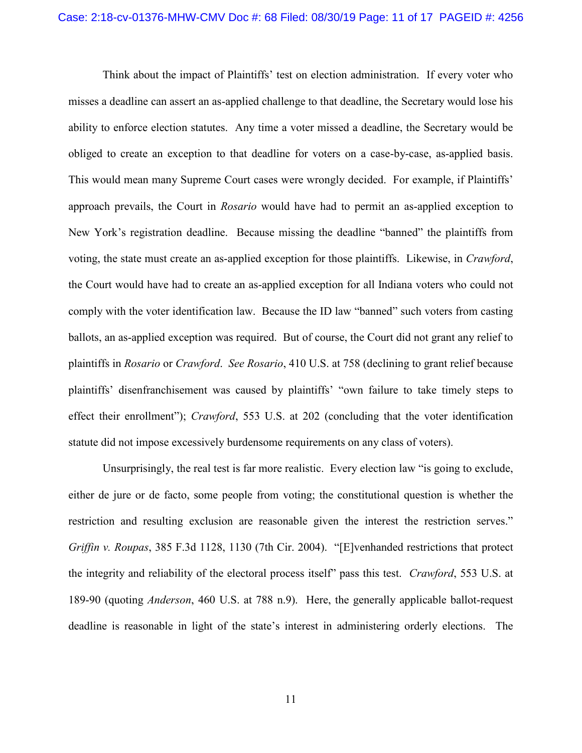Think about the impact of Plaintiffs' test on election administration. If every voter who misses a deadline can assert an as-applied challenge to that deadline, the Secretary would lose his ability to enforce election statutes. Any time a voter missed a deadline, the Secretary would be obliged to create an exception to that deadline for voters on a case-by-case, as-applied basis. This would mean many Supreme Court cases were wrongly decided. For example, if Plaintiffs' approach prevails, the Court in *Rosario* would have had to permit an as-applied exception to New York's registration deadline. Because missing the deadline "banned" the plaintiffs from voting, the state must create an as-applied exception for those plaintiffs. Likewise, in *Crawford*, the Court would have had to create an as-applied exception for all Indiana voters who could not comply with the voter identification law. Because the ID law "banned" such voters from casting ballots, an as-applied exception was required. But of course, the Court did not grant any relief to plaintiffs in *Rosario* or *Crawford*. *See Rosario*, 410 U.S. at 758 (declining to grant relief because plaintiffs' disenfranchisement was caused by plaintiffs' "own failure to take timely steps to effect their enrollment"); *Crawford*, 553 U.S. at 202 (concluding that the voter identification statute did not impose excessively burdensome requirements on any class of voters).

Unsurprisingly, the real test is far more realistic. Every election law "is going to exclude, either de jure or de facto, some people from voting; the constitutional question is whether the restriction and resulting exclusion are reasonable given the interest the restriction serves." *Griffin v. Roupas*, 385 F.3d 1128, 1130 (7th Cir. 2004). "[E]venhanded restrictions that protect the integrity and reliability of the electoral process itself" pass this test. *Crawford*, 553 U.S. at 189-90 (quoting *Anderson*, 460 U.S. at 788 n.9).Here, the generally applicable ballot-request deadline is reasonable in light of the state's interest in administering orderly elections. The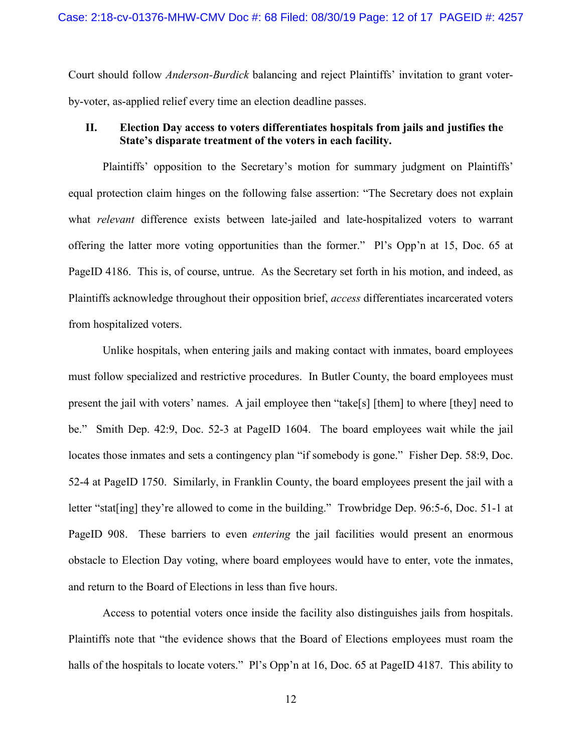Court should follow *Anderson-Burdick* balancing and reject Plaintiffs' invitation to grant voterby-voter, as-applied relief every time an election deadline passes.

## **II. Election Day access to voters differentiates hospitals from jails and justifies the State's disparate treatment of the voters in each facility.**

Plaintiffs' opposition to the Secretary's motion for summary judgment on Plaintiffs' equal protection claim hinges on the following false assertion: "The Secretary does not explain what *relevant* difference exists between late-jailed and late-hospitalized voters to warrant offering the latter more voting opportunities than the former." Pl's Opp'n at 15, Doc. 65 at PageID 4186. This is, of course, untrue. As the Secretary set forth in his motion, and indeed, as Plaintiffs acknowledge throughout their opposition brief, *access* differentiates incarcerated voters from hospitalized voters.

Unlike hospitals, when entering jails and making contact with inmates, board employees must follow specialized and restrictive procedures. In Butler County, the board employees must present the jail with voters' names. A jail employee then "take[s] [them] to where [they] need to be." Smith Dep. 42:9, Doc. 52-3 at PageID 1604. The board employees wait while the jail locates those inmates and sets a contingency plan "if somebody is gone." Fisher Dep. 58:9, Doc. 52-4 at PageID 1750. Similarly, in Franklin County, the board employees present the jail with a letter "stat[ing] they're allowed to come in the building." Trowbridge Dep. 96:5-6, Doc. 51-1 at PageID 908. These barriers to even *entering* the jail facilities would present an enormous obstacle to Election Day voting, where board employees would have to enter, vote the inmates, and return to the Board of Elections in less than five hours.

Access to potential voters once inside the facility also distinguishes jails from hospitals. Plaintiffs note that "the evidence shows that the Board of Elections employees must roam the halls of the hospitals to locate voters." Pl's Opp'n at 16, Doc. 65 at PageID 4187. This ability to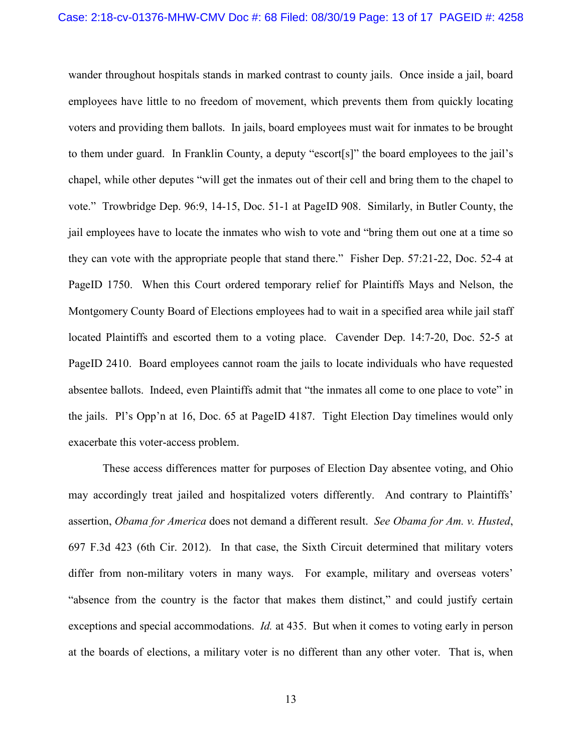wander throughout hospitals stands in marked contrast to county jails. Once inside a jail, board employees have little to no freedom of movement, which prevents them from quickly locating voters and providing them ballots. In jails, board employees must wait for inmates to be brought to them under guard. In Franklin County, a deputy "escort[s]" the board employees to the jail's chapel, while other deputes "will get the inmates out of their cell and bring them to the chapel to vote." Trowbridge Dep. 96:9, 14-15, Doc. 51-1 at PageID 908. Similarly, in Butler County, the jail employees have to locate the inmates who wish to vote and "bring them out one at a time so they can vote with the appropriate people that stand there." Fisher Dep. 57:21-22, Doc. 52-4 at PageID 1750. When this Court ordered temporary relief for Plaintiffs Mays and Nelson, the Montgomery County Board of Elections employees had to wait in a specified area while jail staff located Plaintiffs and escorted them to a voting place. Cavender Dep. 14:7-20, Doc. 52-5 at PageID 2410. Board employees cannot roam the jails to locate individuals who have requested absentee ballots. Indeed, even Plaintiffs admit that "the inmates all come to one place to vote" in the jails. Pl's Opp'n at 16, Doc. 65 at PageID 4187. Tight Election Day timelines would only exacerbate this voter-access problem.

These access differences matter for purposes of Election Day absentee voting, and Ohio may accordingly treat jailed and hospitalized voters differently. And contrary to Plaintiffs' assertion, *Obama for America* does not demand a different result. *See Obama for Am. v. Husted*, 697 F.3d 423 (6th Cir. 2012). In that case, the Sixth Circuit determined that military voters differ from non-military voters in many ways. For example, military and overseas voters' "absence from the country is the factor that makes them distinct," and could justify certain exceptions and special accommodations. *Id.* at 435. But when it comes to voting early in person at the boards of elections, a military voter is no different than any other voter. That is, when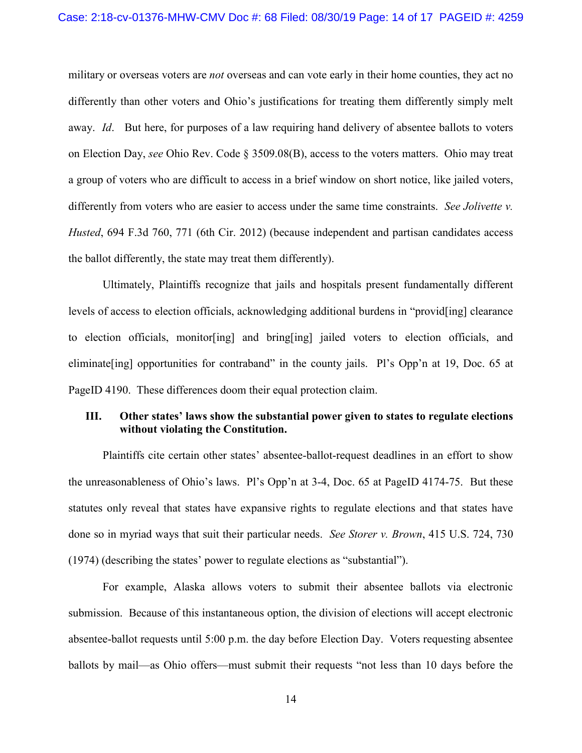military or overseas voters are *not* overseas and can vote early in their home counties, they act no differently than other voters and Ohio's justifications for treating them differently simply melt away. *Id*. But here, for purposes of a law requiring hand delivery of absentee ballots to voters on Election Day, *see* Ohio Rev. Code § 3509.08(B), access to the voters matters. Ohio may treat a group of voters who are difficult to access in a brief window on short notice, like jailed voters, differently from voters who are easier to access under the same time constraints. *See Jolivette v. Husted*, 694 F.3d 760, 771 (6th Cir. 2012) (because independent and partisan candidates access the ballot differently, the state may treat them differently).

Ultimately, Plaintiffs recognize that jails and hospitals present fundamentally different levels of access to election officials, acknowledging additional burdens in "provid[ing] clearance to election officials, monitor[ing] and bring[ing] jailed voters to election officials, and eliminate[ing] opportunities for contraband" in the county jails. Pl's Opp'n at 19, Doc. 65 at PageID 4190. These differences doom their equal protection claim.

### **III. Other states' laws show the substantial power given to states to regulate elections without violating the Constitution.**

Plaintiffs cite certain other states' absentee-ballot-request deadlines in an effort to show the unreasonableness of Ohio's laws. Pl's Opp'n at 3-4, Doc. 65 at PageID 4174-75. But these statutes only reveal that states have expansive rights to regulate elections and that states have done so in myriad ways that suit their particular needs. *See Storer v. Brown*, 415 U.S. 724, 730 (1974) (describing the states' power to regulate elections as "substantial").

For example, Alaska allows voters to submit their absentee ballots via electronic submission. Because of this instantaneous option, the division of elections will accept electronic absentee-ballot requests until 5:00 p.m. the day before Election Day. Voters requesting absentee ballots by mail—as Ohio offers—must submit their requests "not less than 10 days before the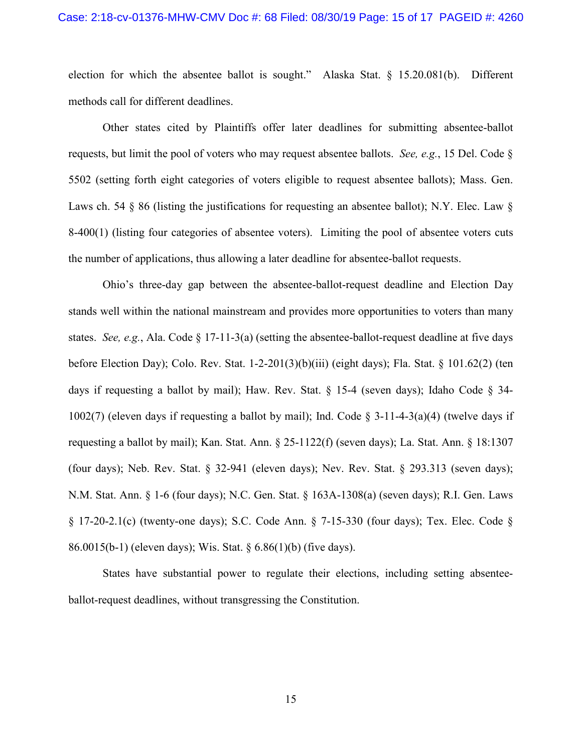#### Case: 2:18-cv-01376-MHW-CMV Doc #: 68 Filed: 08/30/19 Page: 15 of 17 PAGEID #: 4260

election for which the absentee ballot is sought." Alaska Stat. § 15.20.081(b). Different methods call for different deadlines.

Other states cited by Plaintiffs offer later deadlines for submitting absentee-ballot requests, but limit the pool of voters who may request absentee ballots. *See, e.g.*, 15 Del. Code § 5502 (setting forth eight categories of voters eligible to request absentee ballots); Mass. Gen. Laws ch. 54 § 86 (listing the justifications for requesting an absentee ballot); N.Y. Elec. Law § 8-400(1) (listing four categories of absentee voters). Limiting the pool of absentee voters cuts the number of applications, thus allowing a later deadline for absentee-ballot requests.

Ohio's three-day gap between the absentee-ballot-request deadline and Election Day stands well within the national mainstream and provides more opportunities to voters than many states. *See, e.g.*, Ala. Code § 17-11-3(a) (setting the absentee-ballot-request deadline at five days before Election Day); Colo. Rev. Stat. 1-2-201(3)(b)(iii) (eight days); Fla. Stat. § 101.62(2) (ten days if requesting a ballot by mail); Haw. Rev. Stat. § 15-4 (seven days); Idaho Code § 34- 1002(7) (eleven days if requesting a ballot by mail); Ind. Code  $\S$  3-11-4-3(a)(4) (twelve days if requesting a ballot by mail); Kan. Stat. Ann. § 25-1122(f) (seven days); La. Stat. Ann. § 18:1307 (four days); Neb. Rev. Stat. § 32-941 (eleven days); Nev. Rev. Stat. § 293.313 (seven days); N.M. Stat. Ann. § 1-6 (four days); N.C. Gen. Stat. § 163A-1308(a) (seven days); R.I. Gen. Laws § 17-20-2.1(c) (twenty-one days); S.C. Code Ann. § 7-15-330 (four days); Tex. Elec. Code § 86.0015(b-1) (eleven days); Wis. Stat. § 6.86(1)(b) (five days).

States have substantial power to regulate their elections, including setting absenteeballot-request deadlines, without transgressing the Constitution.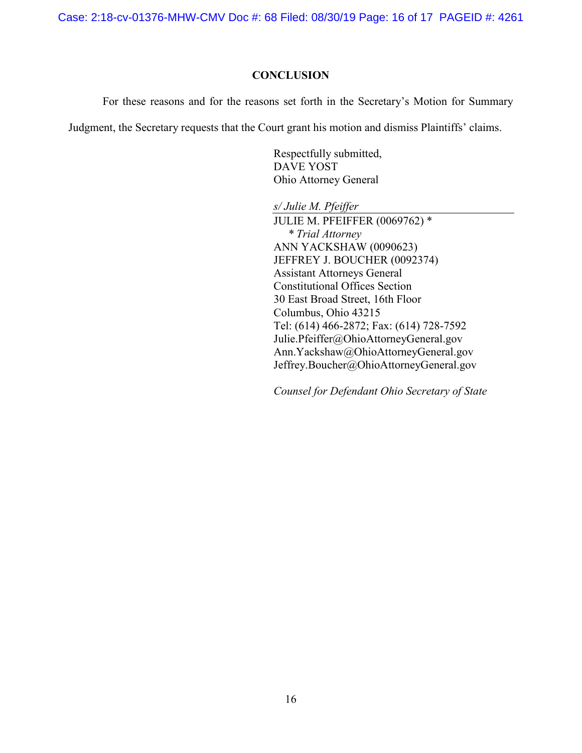Case: 2:18-cv-01376-MHW-CMV Doc #: 68 Filed: 08/30/19 Page: 16 of 17 PAGEID #: 4261

### **CONCLUSION**

For these reasons and for the reasons set forth in the Secretary's Motion for Summary

Judgment, the Secretary requests that the Court grant his motion and dismiss Plaintiffs' claims.

Respectfully submitted, DAVE YOST Ohio Attorney General

*s/ Julie M. Pfeiffer*

JULIE M. PFEIFFER (0069762) \* *\* Trial Attorney* ANN YACKSHAW (0090623) JEFFREY J. BOUCHER (0092374) Assistant Attorneys General Constitutional Offices Section 30 East Broad Street, 16th Floor Columbus, Ohio 43215 Tel: (614) 466-2872; Fax: (614) 728-7592 Julie.Pfeiffer@OhioAttorneyGeneral.gov Ann.Yackshaw@OhioAttorneyGeneral.gov Jeffrey.Boucher@OhioAttorneyGeneral.gov

*Counsel for Defendant Ohio Secretary of State*